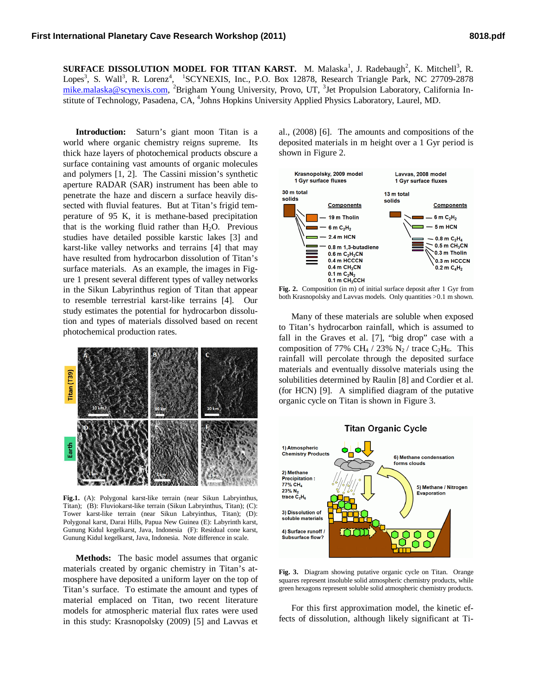**SURFACE DISSOLUTION MODEL FOR TITAN KARST.** M. Malaska<sup>1</sup>, J. Radebaugh<sup>2</sup>, K. Mitchell<sup>3</sup>, R. Lopes<sup>3</sup>, S. Wall<sup>3</sup>, R. Lorenz<sup>4</sup>, <sup>1</sup>SCYNEXIS, Inc., P.O. Box 12878, Research Triangle Park, NC 27709-2878 mike.malaska@scynexis.com, <sup>2</sup>Brigham Young University, Provo, UT, <sup>3</sup>Jet Propulsion Laboratory, California Institute of Technology, Pasadena, CA, <sup>4</sup>Johns Hopkins University Applied Physics Laboratory, Laurel, MD.

**Introduction:** Saturn's giant moon Titan is a world where organic chemistry reigns supreme. Its thick haze layers of photochemical products obscure a surface containing vast amounts of organic molecules and polymers [1, 2]. The Cassini mission's synthetic aperture RADAR (SAR) instrument has been able to penetrate the haze and discern a surface heavily dissected with fluvial features. But at Titan's frigid temperature of 95 K, it is methane-based precipitation that is the working fluid rather than  $H_2O$ . Previous studies have detailed possible karstic lakes [3] and karst-like valley networks and terrains [4] that may have resulted from hydrocarbon dissolution of Titan's surface materials. As an example, the images in Figure 1 present several different types of valley networks in the Sikun Labyrinthus region of Titan that appear to resemble terrestrial karst-like terrains [4]. Our study estimates the potential for hydrocarbon dissolution and types of materials dissolved based on recent photochemical production rates.



**Fig.1.** (A): Polygonal karst-like terrain (near Sikun Labryinthus, Titan); (B): Fluviokarst-like terrain (Sikun Labryinthus, Titan); (C): Tower karst-like terrain (near Sikun Labryinthus, Titan); (D): Polygonal karst, Darai Hills, Papua New Guinea (E): Labyrinth karst, Gunung Kidul kegelkarst, Java, Indonesia (F): Residual cone karst, Gunung Kidul kegelkarst, Java, Indonesia. Note difference in scale.

**Methods:** The basic model assumes that organic materials created by organic chemistry in Titan's atmosphere have deposited a uniform layer on the top of Titan's surface. To estimate the amount and types of material emplaced on Titan, two recent literature models for atmospheric material flux rates were used in this study: Krasnopolsky (2009) [5] and Lavvas et

al., (2008) [6]. The amounts and compositions of the deposited materials in m height over a 1 Gyr period is shown in Figure 2.



**Fig. 2.** Composition (in m) of initial surface deposit after 1 Gyr from both Krasnopolsky and Lavvas models. Only quantities >0.1 m shown.

Many of these materials are soluble when exposed to Titan's hydrocarbon rainfall, which is assumed to fall in the Graves et al. [7], "big drop" case with a composition of 77% CH<sub>4</sub> / 23% N<sub>2</sub> / trace C<sub>2</sub>H<sub>6</sub>. This rainfall will percolate through the deposited surface materials and eventually dissolve materials using the solubilities determined by Raulin [8] and Cordier et al. (for HCN) [9]. A simplified diagram of the putative organic cycle on Titan is shown in Figure 3.



**Fig. 3.** Diagram showing putative organic cycle on Titan. Orange squares represent insoluble solid atmospheric chemistry products, while green hexagons represent soluble solid atmospheric chemistry products.

For this first approximation model, the kinetic effects of dissolution, although likely significant at Ti